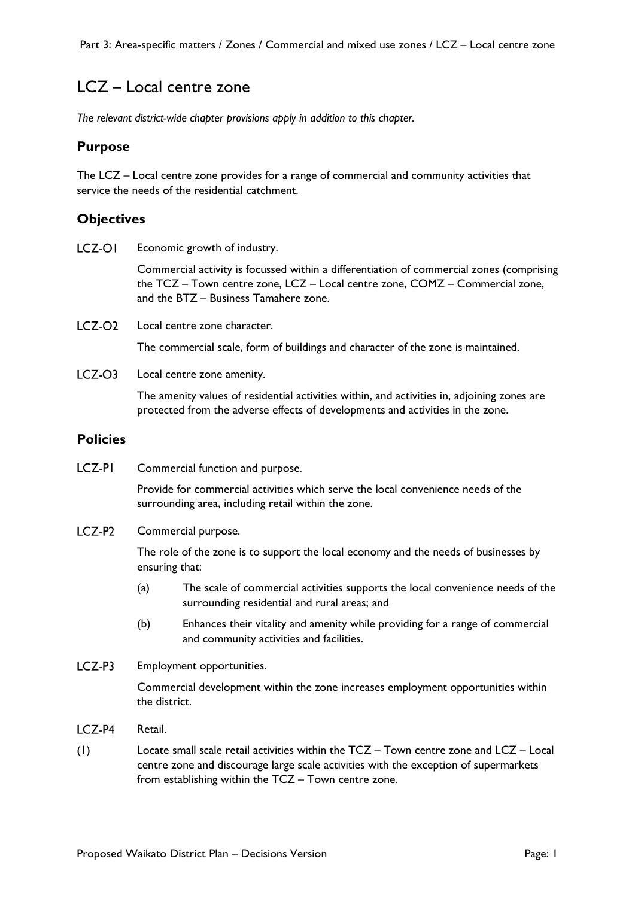# LCZ – Local centre zone

*The relevant district-wide chapter provisions apply in addition to this chapter.* 

#### **Purpose**

The LCZ – Local centre zone provides for a range of commercial and community activities that service the needs of the residential catchment.

#### **Objectives**

LCZ-OI Economic growth of industry.

> Commercial activity is focussed within a differentiation of commercial zones (comprising the TCZ – Town centre zone, LCZ – Local centre zone, COMZ – Commercial zone, and the BTZ – Business Tamahere zone.

 $LCZ$ - $O2$ Local centre zone character.

The commercial scale, form of buildings and character of the zone is maintained.

 $LCZ$ -O3 Local centre zone amenity.

> The amenity values of residential activities within, and activities in, adjoining zones are protected from the adverse effects of developments and activities in the zone.

#### **Policies**

LCZ-PI Commercial function and purpose.

> Provide for commercial activities which serve the local convenience needs of the surrounding area, including retail within the zone.

LCZ-P<sub>2</sub> Commercial purpose.

> The role of the zone is to support the local economy and the needs of businesses by ensuring that:

- (a) The scale of commercial activities supports the local convenience needs of the surrounding residential and rural areas; and
- (b) Enhances their vitality and amenity while providing for a range of commercial and community activities and facilities.
- LCZ-P3 Employment opportunities.

Commercial development within the zone increases employment opportunities within the district.

- LCZ-P4 Retail.
- (1) Locate small scale retail activities within the TCZ Town centre zone and LCZ Local centre zone and discourage large scale activities with the exception of supermarkets from establishing within the TCZ – Town centre zone.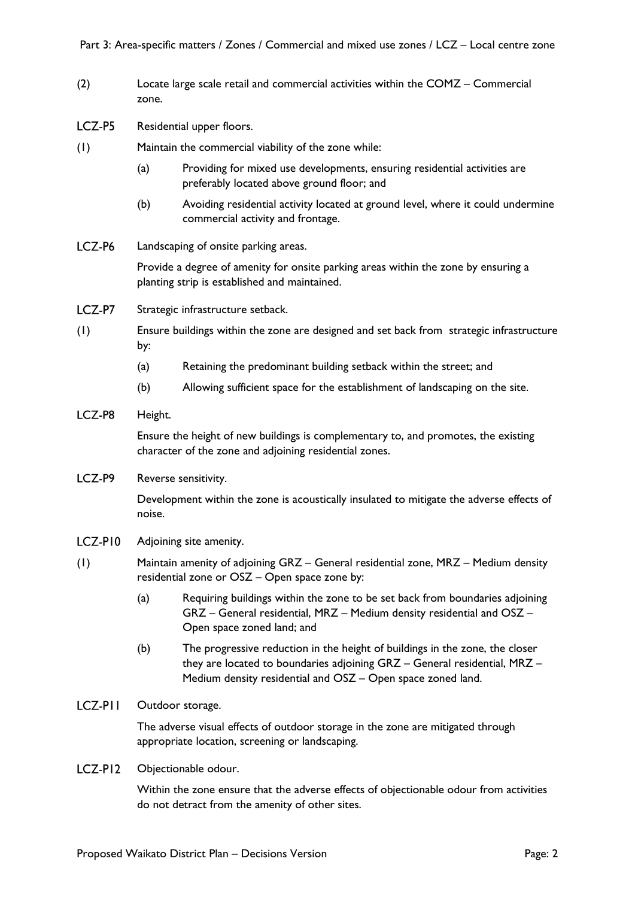- (2) Locate large scale retail and commercial activities within the COMZ Commercial zone.
- LCZ-P5 Residential upper floors.
- (1) Maintain the commercial viability of the zone while:
	- (a) Providing for mixed use developments, ensuring residential activities are preferably located above ground floor; and
	- (b) Avoiding residential activity located at ground level, where it could undermine commercial activity and frontage.
- LCZ-P6 Landscaping of onsite parking areas.

Provide a degree of amenity for onsite parking areas within the zone by ensuring a planting strip is established and maintained.

- LCZ-P7 Strategic infrastructure setback.
- (1) Ensure buildings within the zone are designed and set back from strategic infrastructure by:
	- (a) Retaining the predominant building setback within the street; and
	- (b) Allowing sufficient space for the establishment of landscaping on the site.
- LCZ-P8 Height.

Ensure the height of new buildings is complementary to, and promotes, the existing character of the zone and adjoining residential zones.

LCZ-P9 Reverse sensitivity.

> Development within the zone is acoustically insulated to mitigate the adverse effects of noise.

- LCZ-PI0 Adjoining site amenity.
- (1) Maintain amenity of adjoining GRZ General residential zone, MRZ Medium density residential zone or OSZ – Open space zone by:
	- (a) Requiring buildings within the zone to be set back from boundaries adjoining GRZ – General residential, MRZ – Medium density residential and OSZ – Open space zoned land; and
	- (b) The progressive reduction in the height of buildings in the zone, the closer they are located to boundaries adjoining GRZ – General residential, MRZ – Medium density residential and OSZ – Open space zoned land.
- LCZ-PII Outdoor storage.

The adverse visual effects of outdoor storage in the zone are mitigated through appropriate location, screening or landscaping.

 $LCZ-PI2$ Objectionable odour.

> Within the zone ensure that the adverse effects of objectionable odour from activities do not detract from the amenity of other sites.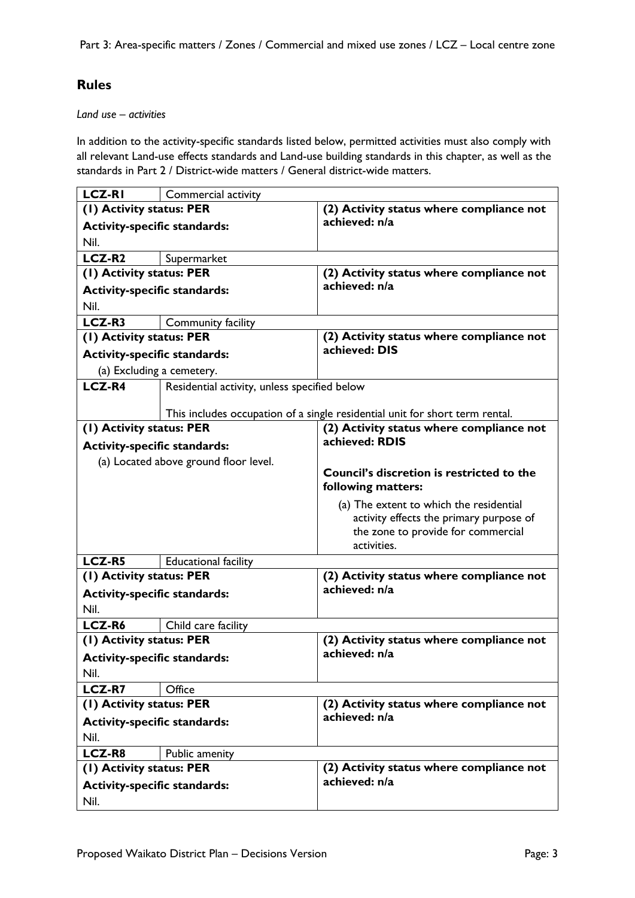## **Rules**

#### *Land use – activities*

In addition to the activity-specific standards listed below, permitted activities must also comply with all relevant Land-use effects standards and Land-use building standards in this chapter, as well as the standards in Part 2 / District-wide matters / General district-wide matters.

| <b>LCZ-RI</b>                               | Commercial activity                          |                                                                              |
|---------------------------------------------|----------------------------------------------|------------------------------------------------------------------------------|
| (1) Activity status: PER                    |                                              | (2) Activity status where compliance not                                     |
| <b>Activity-specific standards:</b>         |                                              | achieved: n/a                                                                |
| Nil.                                        |                                              |                                                                              |
| LCZ-R <sub>2</sub>                          | Supermarket                                  |                                                                              |
| (1) Activity status: PER                    |                                              | (2) Activity status where compliance not                                     |
| <b>Activity-specific standards:</b>         |                                              | achieved: n/a                                                                |
| Nil.                                        |                                              |                                                                              |
| LCZ-R3                                      | Community facility                           |                                                                              |
| (1) Activity status: PER                    |                                              | (2) Activity status where compliance not                                     |
| <b>Activity-specific standards:</b>         |                                              | achieved: DIS                                                                |
| (a) Excluding a cemetery.                   |                                              |                                                                              |
| <b>LCZ-R4</b>                               | Residential activity, unless specified below |                                                                              |
|                                             |                                              |                                                                              |
|                                             |                                              | This includes occupation of a single residential unit for short term rental. |
| (1) Activity status: PER                    |                                              | (2) Activity status where compliance not                                     |
| <b>Activity-specific standards:</b>         |                                              | achieved: RDIS                                                               |
|                                             | (a) Located above ground floor level.        |                                                                              |
|                                             |                                              | <b>Council's discretion is restricted to the</b>                             |
|                                             |                                              | following matters:                                                           |
|                                             |                                              | (a) The extent to which the residential                                      |
|                                             |                                              | activity effects the primary purpose of                                      |
|                                             |                                              | the zone to provide for commercial<br>activities.                            |
| <b>LCZ-R5</b>                               | <b>Educational facility</b>                  |                                                                              |
| (1) Activity status: PER                    |                                              | (2) Activity status where compliance not                                     |
| <b>Activity-specific standards:</b>         |                                              | achieved: n/a                                                                |
| Nil.                                        |                                              |                                                                              |
| LCZ-R6                                      | Child care facility                          |                                                                              |
| (1) Activity status: PER                    |                                              | (2) Activity status where compliance not                                     |
|                                             |                                              | achieved: n/a                                                                |
| <b>Activity-specific standards:</b><br>Nil. |                                              |                                                                              |
| <b>LCZ-R7</b>                               | Office                                       |                                                                              |
|                                             |                                              | (2) Activity status where compliance not                                     |
| (1) Activity status: PER                    |                                              | achieved: n/a                                                                |
| <b>Activity-specific standards:</b><br>Nil. |                                              |                                                                              |
|                                             |                                              |                                                                              |
| LCZ-R8                                      | Public amenity                               |                                                                              |
| (I) Activity status: PER                    |                                              | (2) Activity status where compliance not<br>achieved: n/a                    |
| <b>Activity-specific standards:</b>         |                                              |                                                                              |
| Nil.                                        |                                              |                                                                              |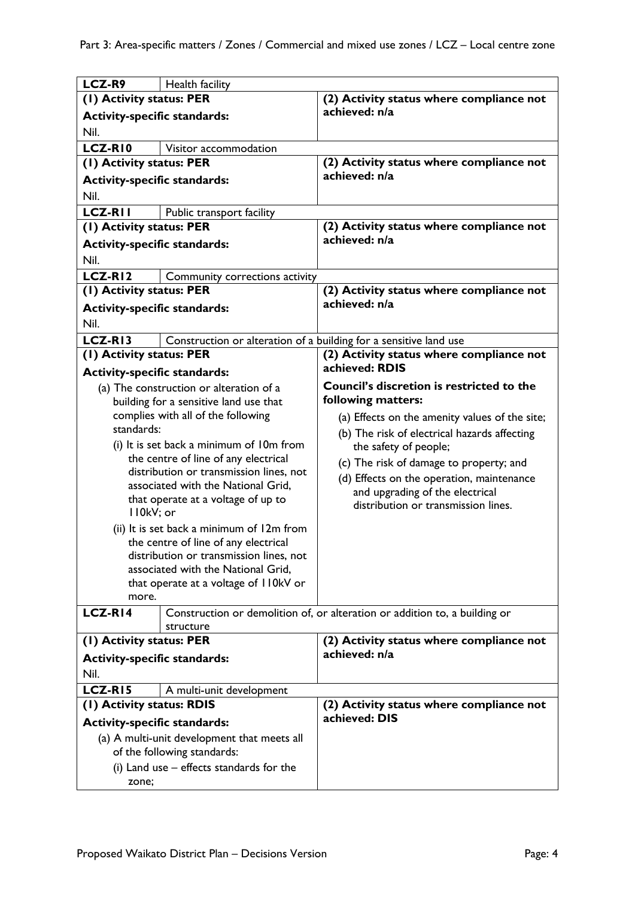| LCZ-R9                                      | Health facility                                                   |                                                                            |
|---------------------------------------------|-------------------------------------------------------------------|----------------------------------------------------------------------------|
| (1) Activity status: PER                    |                                                                   | (2) Activity status where compliance not                                   |
| <b>Activity-specific standards:</b>         |                                                                   | achieved: n/a                                                              |
| Nil.                                        |                                                                   |                                                                            |
| LCZ-RI0                                     | Visitor accommodation                                             |                                                                            |
| (1) Activity status: PER                    |                                                                   | (2) Activity status where compliance not                                   |
| <b>Activity-specific standards:</b>         |                                                                   | achieved: n/a                                                              |
| Nil.                                        |                                                                   |                                                                            |
| <b>LCZ-RII</b>                              | Public transport facility                                         |                                                                            |
| (1) Activity status: PER                    |                                                                   | (2) Activity status where compliance not                                   |
|                                             |                                                                   | achieved: n/a                                                              |
| <b>Activity-specific standards:</b>         |                                                                   |                                                                            |
| Nil.                                        |                                                                   |                                                                            |
| LCZ-RI2                                     | Community corrections activity                                    |                                                                            |
| (1) Activity status: PER                    |                                                                   | (2) Activity status where compliance not                                   |
| <b>Activity-specific standards:</b>         |                                                                   | achieved: n/a                                                              |
| Nil.                                        |                                                                   |                                                                            |
| LCZ-RI3                                     | Construction or alteration of a building for a sensitive land use |                                                                            |
| (1) Activity status: PER                    |                                                                   | (2) Activity status where compliance not                                   |
| <b>Activity-specific standards:</b>         |                                                                   | achieved: RDIS                                                             |
|                                             | (a) The construction or alteration of a                           | Council's discretion is restricted to the                                  |
|                                             | building for a sensitive land use that                            | following matters:                                                         |
|                                             | complies with all of the following                                | (a) Effects on the amenity values of the site;                             |
| standards:                                  |                                                                   | (b) The risk of electrical hazards affecting                               |
|                                             | (i) It is set back a minimum of 10m from                          | the safety of people;                                                      |
|                                             | the centre of line of any electrical                              | (c) The risk of damage to property; and                                    |
|                                             | distribution or transmission lines, not                           | (d) Effects on the operation, maintenance                                  |
|                                             | associated with the National Grid,                                | and upgrading of the electrical                                            |
|                                             | that operate at a voltage of up to                                | distribution or transmission lines.                                        |
| II0kV; or                                   |                                                                   |                                                                            |
|                                             | (ii) It is set back a minimum of 12m from                         |                                                                            |
|                                             | the centre of line of any electrical                              |                                                                            |
|                                             | distribution or transmission lines, not                           |                                                                            |
|                                             | associated with the National Grid,                                |                                                                            |
| that operate at a voltage of I IOkV or      |                                                                   |                                                                            |
| more.                                       |                                                                   |                                                                            |
| LCZ-RI4                                     |                                                                   | Construction or demolition of, or alteration or addition to, a building or |
|                                             | structure                                                         |                                                                            |
| (1) Activity status: PER                    |                                                                   | (2) Activity status where compliance not<br>achieved: n/a                  |
| <b>Activity-specific standards:</b>         |                                                                   |                                                                            |
| Nil.                                        |                                                                   |                                                                            |
| LCZ-RI5                                     | A multi-unit development                                          |                                                                            |
| (1) Activity status: RDIS                   |                                                                   | (2) Activity status where compliance not                                   |
| <b>Activity-specific standards:</b>         |                                                                   | achieved: DIS                                                              |
| (a) A multi-unit development that meets all |                                                                   |                                                                            |
| of the following standards:                 |                                                                   |                                                                            |
| (i) Land use – effects standards for the    |                                                                   |                                                                            |
| zone;                                       |                                                                   |                                                                            |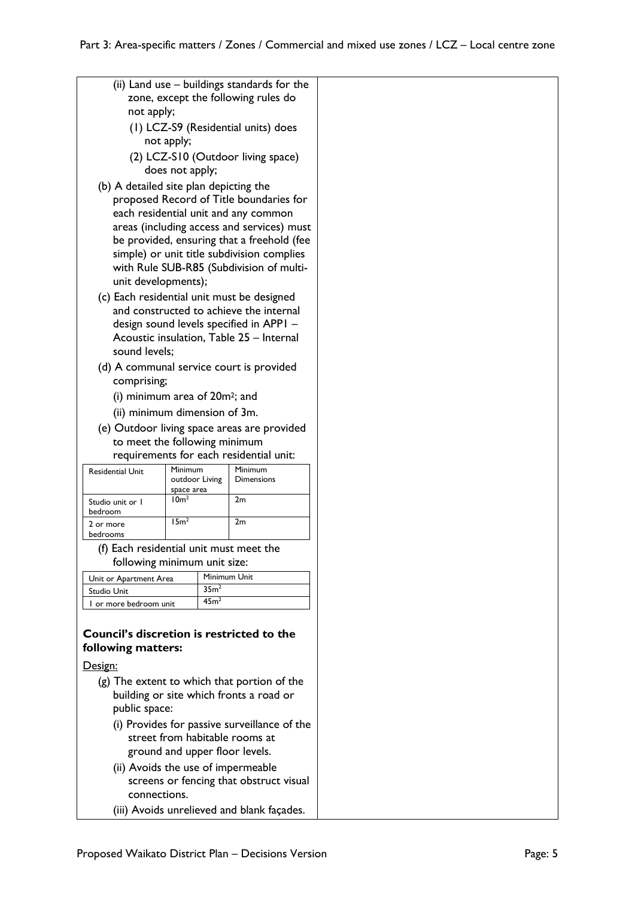| (ii) Land use - buildings standards for the<br>zone, except the following rules do<br>not apply;<br>(1) LCZ-S9 (Residential units) does |                                                                                                                                                                                                                                                                                                                                        |                  |                                  |                                                                                                                                |  |
|-----------------------------------------------------------------------------------------------------------------------------------------|----------------------------------------------------------------------------------------------------------------------------------------------------------------------------------------------------------------------------------------------------------------------------------------------------------------------------------------|------------------|----------------------------------|--------------------------------------------------------------------------------------------------------------------------------|--|
|                                                                                                                                         |                                                                                                                                                                                                                                                                                                                                        | not apply;       |                                  |                                                                                                                                |  |
|                                                                                                                                         |                                                                                                                                                                                                                                                                                                                                        | does not apply;  |                                  | (2) LCZ-S10 (Outdoor living space)                                                                                             |  |
|                                                                                                                                         | (b) A detailed site plan depicting the<br>proposed Record of Title boundaries for<br>each residential unit and any common<br>areas (including access and services) must<br>be provided, ensuring that a freehold (fee<br>simple) or unit title subdivision complies<br>with Rule SUB-R85 (Subdivision of multi-<br>unit developments); |                  |                                  |                                                                                                                                |  |
|                                                                                                                                         |                                                                                                                                                                                                                                                                                                                                        |                  |                                  | (c) Each residential unit must be designed                                                                                     |  |
|                                                                                                                                         | sound levels:                                                                                                                                                                                                                                                                                                                          |                  |                                  | and constructed to achieve the internal<br>design sound levels specified in APPI -<br>Acoustic insulation, Table 25 - Internal |  |
|                                                                                                                                         |                                                                                                                                                                                                                                                                                                                                        |                  |                                  | (d) A communal service court is provided                                                                                       |  |
|                                                                                                                                         | comprising;                                                                                                                                                                                                                                                                                                                            |                  |                                  |                                                                                                                                |  |
|                                                                                                                                         | (i) minimum area of 20m <sup>2</sup> ; and                                                                                                                                                                                                                                                                                             |                  |                                  |                                                                                                                                |  |
|                                                                                                                                         | (ii) minimum dimension of 3m.                                                                                                                                                                                                                                                                                                          |                  |                                  |                                                                                                                                |  |
|                                                                                                                                         |                                                                                                                                                                                                                                                                                                                                        |                  |                                  | (e) Outdoor living space areas are provided                                                                                    |  |
| to meet the following minimum<br>requirements for each residential unit:                                                                |                                                                                                                                                                                                                                                                                                                                        |                  |                                  |                                                                                                                                |  |
|                                                                                                                                         | <b>Residential Unit</b>                                                                                                                                                                                                                                                                                                                | Minimum          |                                  | Minimum                                                                                                                        |  |
|                                                                                                                                         |                                                                                                                                                                                                                                                                                                                                        | space area       | outdoor Living                   | Dimensions                                                                                                                     |  |
|                                                                                                                                         | Studio unit or I<br>bedroom                                                                                                                                                                                                                                                                                                            | 10 <sup>m²</sup> |                                  | 2m                                                                                                                             |  |
|                                                                                                                                         | 2 or more<br>bedrooms                                                                                                                                                                                                                                                                                                                  | 15m <sup>2</sup> |                                  | 2m                                                                                                                             |  |
|                                                                                                                                         | (f) Each residential unit must meet the                                                                                                                                                                                                                                                                                                |                  |                                  |                                                                                                                                |  |
|                                                                                                                                         | following minimum unit size:                                                                                                                                                                                                                                                                                                           |                  |                                  |                                                                                                                                |  |
|                                                                                                                                         | Unit or Apartment Area                                                                                                                                                                                                                                                                                                                 |                  | Minimum Unit<br>35m <sup>2</sup> |                                                                                                                                |  |
|                                                                                                                                         | Studio Unit<br>I or more bedroom unit                                                                                                                                                                                                                                                                                                  |                  | 45m <sup>2</sup>                 |                                                                                                                                |  |
|                                                                                                                                         |                                                                                                                                                                                                                                                                                                                                        |                  |                                  |                                                                                                                                |  |
| <b>Council's discretion is restricted to the</b><br>following matters:                                                                  |                                                                                                                                                                                                                                                                                                                                        |                  |                                  |                                                                                                                                |  |
|                                                                                                                                         | Design:                                                                                                                                                                                                                                                                                                                                |                  |                                  |                                                                                                                                |  |
| (g) The extent to which that portion of the                                                                                             |                                                                                                                                                                                                                                                                                                                                        |                  |                                  |                                                                                                                                |  |
| building or site which fronts a road or<br>public space:                                                                                |                                                                                                                                                                                                                                                                                                                                        |                  |                                  |                                                                                                                                |  |
| (i) Provides for passive surveillance of the                                                                                            |                                                                                                                                                                                                                                                                                                                                        |                  |                                  |                                                                                                                                |  |
|                                                                                                                                         | street from habitable rooms at                                                                                                                                                                                                                                                                                                         |                  |                                  |                                                                                                                                |  |
|                                                                                                                                         | ground and upper floor levels.                                                                                                                                                                                                                                                                                                         |                  |                                  |                                                                                                                                |  |
|                                                                                                                                         |                                                                                                                                                                                                                                                                                                                                        |                  |                                  |                                                                                                                                |  |

- (ii) Avoids the use of impermeable screens or fencing that obstruct visual connections.
- (iii) Avoids unrelieved and blank façades.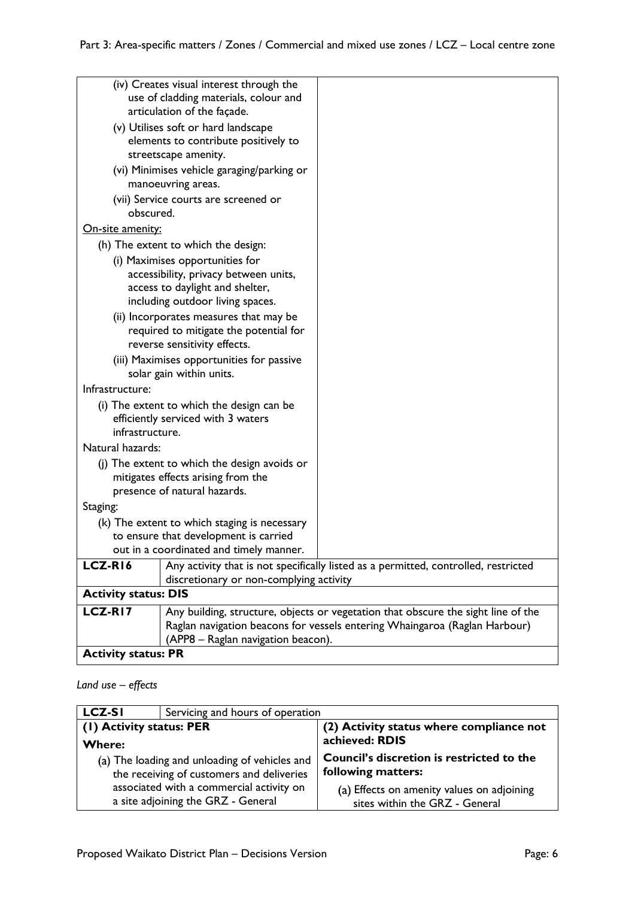|                                                                            | (iv) Creates visual interest through the     |                                                                                     |
|----------------------------------------------------------------------------|----------------------------------------------|-------------------------------------------------------------------------------------|
|                                                                            | use of cladding materials, colour and        |                                                                                     |
|                                                                            | articulation of the façade.                  |                                                                                     |
| (v) Utilises soft or hard landscape                                        |                                              |                                                                                     |
|                                                                            | elements to contribute positively to         |                                                                                     |
|                                                                            | streetscape amenity.                         |                                                                                     |
|                                                                            | (vi) Minimises vehicle garaging/parking or   |                                                                                     |
|                                                                            | manoeuvring areas.                           |                                                                                     |
|                                                                            | (vii) Service courts are screened or         |                                                                                     |
| obscured.                                                                  |                                              |                                                                                     |
| <u>On-site amenity:</u>                                                    |                                              |                                                                                     |
|                                                                            | (h) The extent to which the design:          |                                                                                     |
|                                                                            | (i) Maximises opportunities for              |                                                                                     |
|                                                                            | accessibility, privacy between units,        |                                                                                     |
|                                                                            | access to daylight and shelter,              |                                                                                     |
|                                                                            | including outdoor living spaces.             |                                                                                     |
|                                                                            | (ii) Incorporates measures that may be       |                                                                                     |
|                                                                            | required to mitigate the potential for       |                                                                                     |
|                                                                            | reverse sensitivity effects.                 |                                                                                     |
|                                                                            | (iii) Maximises opportunities for passive    |                                                                                     |
| solar gain within units.                                                   |                                              |                                                                                     |
| Infrastructure:                                                            |                                              |                                                                                     |
| (i) The extent to which the design can be                                  |                                              |                                                                                     |
| efficiently serviced with 3 waters                                         |                                              |                                                                                     |
| infrastructure.                                                            |                                              |                                                                                     |
| Natural hazards:                                                           |                                              |                                                                                     |
|                                                                            | (j) The extent to which the design avoids or |                                                                                     |
|                                                                            | mitigates effects arising from the           |                                                                                     |
| presence of natural hazards.                                               |                                              |                                                                                     |
| Staging:                                                                   |                                              |                                                                                     |
| (k) The extent to which staging is necessary                               |                                              |                                                                                     |
| to ensure that development is carried                                      |                                              |                                                                                     |
|                                                                            | out in a coordinated and timely manner.      |                                                                                     |
| LCZ-R16                                                                    |                                              | Any activity that is not specifically listed as a permitted, controlled, restricted |
|                                                                            | discretionary or non-complying activity      |                                                                                     |
| <b>Activity status: DIS</b>                                                |                                              |                                                                                     |
| LCZ-RI7                                                                    |                                              | Any building, structure, objects or vegetation that obscure the sight line of the   |
|                                                                            |                                              |                                                                                     |
| Raglan navigation beacons for vessels entering Whaingaroa (Raglan Harbour) |                                              |                                                                                     |
| (APP8 – Raglan navigation beacon).<br><b>Activity status: PR</b>           |                                              |                                                                                     |
|                                                                            |                                              |                                                                                     |

### *Land use – effects*

| <b>LCZ-SI</b><br>Servicing and hours of operation |                                            |
|---------------------------------------------------|--------------------------------------------|
| (1) Activity status: PER                          | (2) Activity status where compliance not   |
| Where:                                            | achieved: RDIS                             |
| (a) The loading and unloading of vehicles and     | Council's discretion is restricted to the  |
| the receiving of customers and deliveries         | following matters:                         |
| associated with a commercial activity on          | (a) Effects on amenity values on adjoining |
| a site adjoining the GRZ - General                | sites within the GRZ - General             |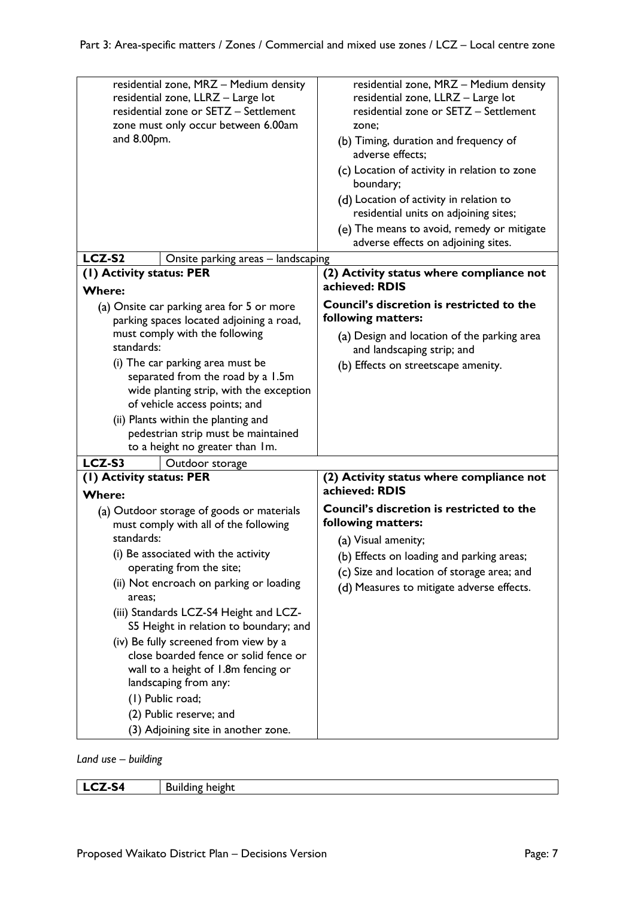| residential zone, MRZ - Medium density<br>residential zone, LLRZ - Large lot<br>residential zone or SETZ - Settlement<br>zone must only occur between 6.00am<br>and 8.00pm. | residential zone, MRZ - Medium density<br>residential zone, LLRZ - Large lot<br>residential zone or SETZ - Settlement<br>zone:<br>(b) Timing, duration and frequency of<br>adverse effects:<br>(c) Location of activity in relation to zone<br>boundary;<br>(d) Location of activity in relation to<br>residential units on adjoining sites;<br>(e) The means to avoid, remedy or mitigate |
|-----------------------------------------------------------------------------------------------------------------------------------------------------------------------------|--------------------------------------------------------------------------------------------------------------------------------------------------------------------------------------------------------------------------------------------------------------------------------------------------------------------------------------------------------------------------------------------|
|                                                                                                                                                                             | adverse effects on adjoining sites.                                                                                                                                                                                                                                                                                                                                                        |
| LCZ-S2<br>Onsite parking areas - landscaping                                                                                                                                |                                                                                                                                                                                                                                                                                                                                                                                            |
| (I) Activity status: PER                                                                                                                                                    | (2) Activity status where compliance not                                                                                                                                                                                                                                                                                                                                                   |
| <b>Where:</b>                                                                                                                                                               | achieved: RDIS                                                                                                                                                                                                                                                                                                                                                                             |
| (a) Onsite car parking area for 5 or more<br>parking spaces located adjoining a road,                                                                                       | <b>Council's discretion is restricted to the</b><br>following matters:                                                                                                                                                                                                                                                                                                                     |
| must comply with the following<br>standards:                                                                                                                                | (a) Design and location of the parking area<br>and landscaping strip; and                                                                                                                                                                                                                                                                                                                  |
| (i) The car parking area must be                                                                                                                                            | (b) Effects on streetscape amenity.                                                                                                                                                                                                                                                                                                                                                        |
| separated from the road by a 1.5m                                                                                                                                           |                                                                                                                                                                                                                                                                                                                                                                                            |
| wide planting strip, with the exception                                                                                                                                     |                                                                                                                                                                                                                                                                                                                                                                                            |
| of vehicle access points; and                                                                                                                                               |                                                                                                                                                                                                                                                                                                                                                                                            |
| (ii) Plants within the planting and                                                                                                                                         |                                                                                                                                                                                                                                                                                                                                                                                            |
| pedestrian strip must be maintained                                                                                                                                         |                                                                                                                                                                                                                                                                                                                                                                                            |
| to a height no greater than Im.                                                                                                                                             |                                                                                                                                                                                                                                                                                                                                                                                            |
| LCZ-S3<br>Outdoor storage                                                                                                                                                   |                                                                                                                                                                                                                                                                                                                                                                                            |
| (I) Activity status: PER                                                                                                                                                    | (2) Activity status where compliance not<br>achieved: RDIS                                                                                                                                                                                                                                                                                                                                 |
| <b>Where:</b>                                                                                                                                                               | Council's discretion is restricted to the                                                                                                                                                                                                                                                                                                                                                  |
| (a) Outdoor storage of goods or materials<br>must comply with all of the following                                                                                          | following matters:                                                                                                                                                                                                                                                                                                                                                                         |
| standards:                                                                                                                                                                  | (a) Visual amenity;                                                                                                                                                                                                                                                                                                                                                                        |
| (i) Be associated with the activity                                                                                                                                         | (b) Effects on loading and parking areas;                                                                                                                                                                                                                                                                                                                                                  |
| operating from the site;                                                                                                                                                    | (c) Size and location of storage area; and                                                                                                                                                                                                                                                                                                                                                 |
| (ii) Not encroach on parking or loading                                                                                                                                     |                                                                                                                                                                                                                                                                                                                                                                                            |
| areas;                                                                                                                                                                      | (d) Measures to mitigate adverse effects.                                                                                                                                                                                                                                                                                                                                                  |
| (iii) Standards LCZ-S4 Height and LCZ-<br>S5 Height in relation to boundary; and                                                                                            |                                                                                                                                                                                                                                                                                                                                                                                            |
| (iv) Be fully screened from view by a                                                                                                                                       |                                                                                                                                                                                                                                                                                                                                                                                            |
| close boarded fence or solid fence or                                                                                                                                       |                                                                                                                                                                                                                                                                                                                                                                                            |
| wall to a height of 1.8m fencing or                                                                                                                                         |                                                                                                                                                                                                                                                                                                                                                                                            |
| landscaping from any:                                                                                                                                                       |                                                                                                                                                                                                                                                                                                                                                                                            |
| (1) Public road;                                                                                                                                                            |                                                                                                                                                                                                                                                                                                                                                                                            |
| (2) Public reserve; and                                                                                                                                                     |                                                                                                                                                                                                                                                                                                                                                                                            |
| (3) Adjoining site in another zone.                                                                                                                                         |                                                                                                                                                                                                                                                                                                                                                                                            |

*Land use – building*

| <b>LCZ-S4</b> | <b>Building height</b> |
|---------------|------------------------|
|               |                        |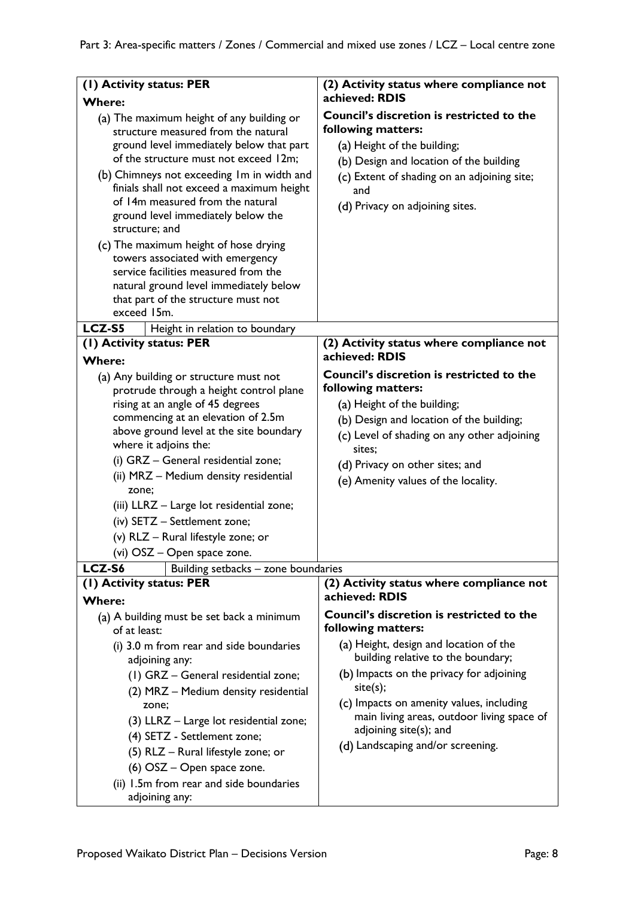| (2) Activity status where compliance not                                                                                                                                                                                                                                                                                                                                |
|-------------------------------------------------------------------------------------------------------------------------------------------------------------------------------------------------------------------------------------------------------------------------------------------------------------------------------------------------------------------------|
| achieved: RDIS                                                                                                                                                                                                                                                                                                                                                          |
| <b>Council's discretion is restricted to the</b><br>following matters:<br>(a) Height of the building;<br>(b) Design and location of the building                                                                                                                                                                                                                        |
| (c) Extent of shading on an adjoining site;<br>and<br>(d) Privacy on adjoining sites.                                                                                                                                                                                                                                                                                   |
|                                                                                                                                                                                                                                                                                                                                                                         |
| (2) Activity status where compliance not<br>achieved: RDIS                                                                                                                                                                                                                                                                                                              |
| <b>Council's discretion is restricted to the</b><br>following matters:<br>(a) Height of the building;<br>(b) Design and location of the building;<br>(c) Level of shading on any other adjoining<br>sites:<br>(d) Privacy on other sites; and<br>(e) Amenity values of the locality.                                                                                    |
| Building setbacks - zone boundaries<br>(2) Activity status where compliance not                                                                                                                                                                                                                                                                                         |
| achieved: RDIS                                                                                                                                                                                                                                                                                                                                                          |
| <b>Council's discretion is restricted to the</b><br>following matters:<br>(a) Height, design and location of the<br>building relative to the boundary;<br>(b) Impacts on the privacy for adjoining<br>site(s);<br>(c) Impacts on amenity values, including<br>main living areas, outdoor living space of<br>adjoining site(s); and<br>(d) Landscaping and/or screening. |
|                                                                                                                                                                                                                                                                                                                                                                         |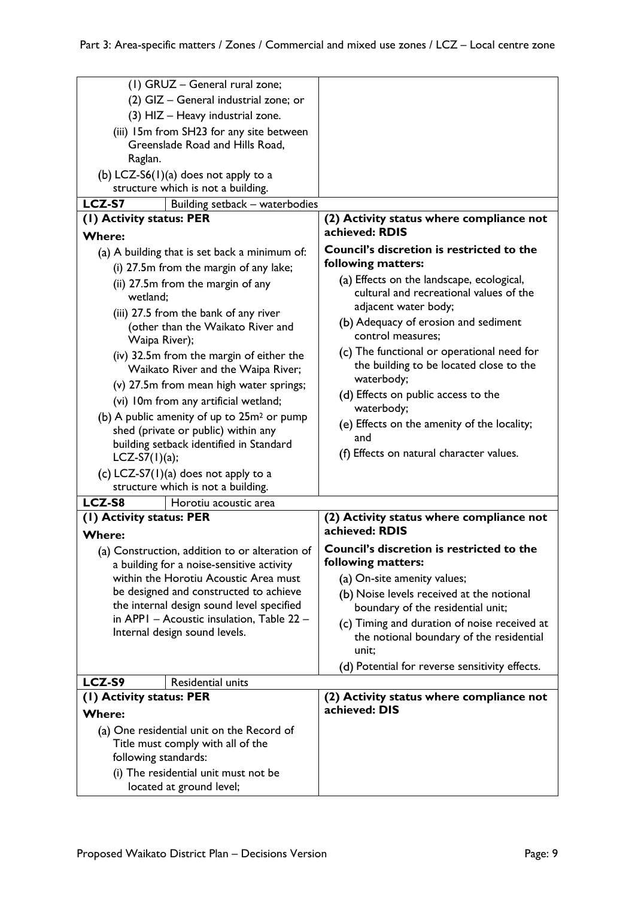| (1) GRUZ - General rural zone;<br>(2) GIZ - General industrial zone; or<br>(3) HIZ - Heavy industrial zone.<br>(iii) 15m from SH23 for any site between |                                                                                                              |
|---------------------------------------------------------------------------------------------------------------------------------------------------------|--------------------------------------------------------------------------------------------------------------|
| Greenslade Road and Hills Road,<br>Raglan.<br>(b) LCZ-S6(1)(a) does not apply to a                                                                      |                                                                                                              |
| structure which is not a building.                                                                                                                      |                                                                                                              |
| LCZ-S7<br>Building setback - waterbodies                                                                                                                |                                                                                                              |
| (I) Activity status: PER                                                                                                                                | (2) Activity status where compliance not<br>achieved: RDIS                                                   |
| <b>Where:</b>                                                                                                                                           |                                                                                                              |
| (a) A building that is set back a minimum of:<br>(i) 27.5m from the margin of any lake;                                                                 | Council's discretion is restricted to the<br>following matters:                                              |
| (ii) 27.5m from the margin of any<br>wetland:<br>(iii) 27.5 from the bank of any river                                                                  | (a) Effects on the landscape, ecological,<br>cultural and recreational values of the<br>adjacent water body; |
| (other than the Waikato River and<br>Waipa River);                                                                                                      | (b) Adequacy of erosion and sediment<br>control measures;                                                    |
| (iv) 32.5m from the margin of either the<br>Waikato River and the Waipa River;                                                                          | (c) The functional or operational need for<br>the building to be located close to the<br>waterbody;          |
| (v) 27.5m from mean high water springs;<br>(vi) 10m from any artificial wetland;                                                                        | (d) Effects on public access to the<br>waterbody;                                                            |
| (b) A public amenity of up to $25m^2$ or pump<br>shed (private or public) within any<br>building setback identified in Standard                         | (e) Effects on the amenity of the locality;<br>and                                                           |
| $LCZ-S7(1)(a);$                                                                                                                                         | (f) Effects on natural character values.                                                                     |
| (c) LCZ-S7(1)(a) does not apply to a<br>structure which is not a building.                                                                              |                                                                                                              |
| LCZ-S8<br>Horotiu acoustic area                                                                                                                         |                                                                                                              |
| (I) Activity status: PER                                                                                                                                | (2) Activity status where compliance not                                                                     |
| <b>Where:</b>                                                                                                                                           | achieved: RDIS                                                                                               |
| (a) Construction, addition to or alteration of                                                                                                          | Council's discretion is restricted to the                                                                    |
| a building for a noise-sensitive activity<br>within the Horotiu Acoustic Area must                                                                      | following matters:<br>(a) On-site amenity values;                                                            |
| be designed and constructed to achieve                                                                                                                  | (b) Noise levels received at the notional                                                                    |
| the internal design sound level specified                                                                                                               | boundary of the residential unit;                                                                            |
| in APPI - Acoustic insulation, Table 22 -<br>Internal design sound levels.                                                                              | (c) Timing and duration of noise received at<br>the notional boundary of the residential<br>unit;            |
|                                                                                                                                                         | (d) Potential for reverse sensitivity effects.                                                               |
| LCZ-S9<br>Residential units                                                                                                                             |                                                                                                              |
| (1) Activity status: PER                                                                                                                                | (2) Activity status where compliance not<br>achieved: DIS                                                    |
| <b>Where:</b>                                                                                                                                           |                                                                                                              |
| (a) One residential unit on the Record of                                                                                                               |                                                                                                              |
| Title must comply with all of the<br>following standards:                                                                                               |                                                                                                              |
| (i) The residential unit must not be                                                                                                                    |                                                                                                              |
| located at ground level;                                                                                                                                |                                                                                                              |